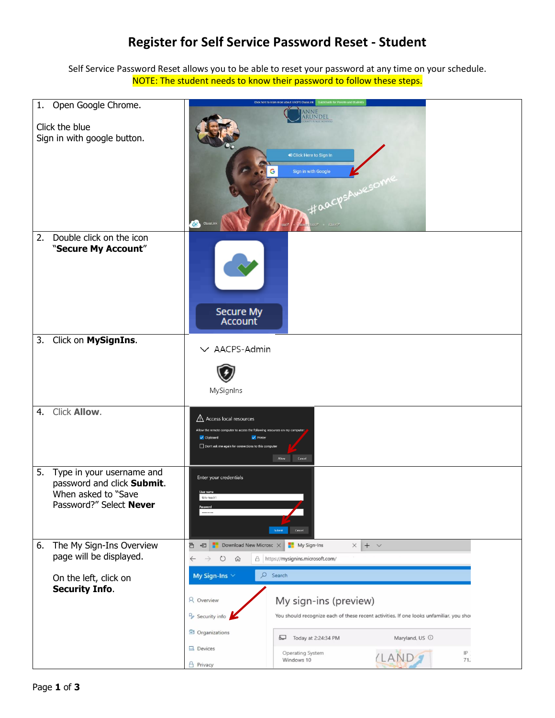## **Register for Self Service Password Reset - Student**

Self Service Password Reset allows you to be able to reset your password at any time on your schedule. NOTE: The student needs to know their password to follow these steps.

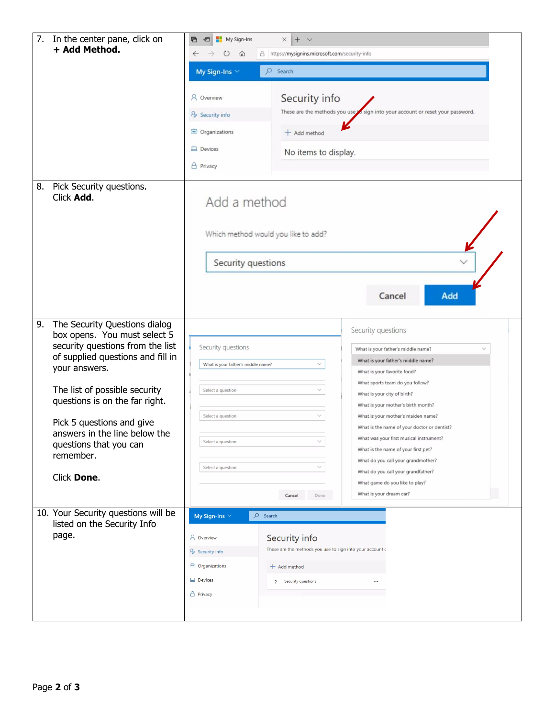| 7. | In the center pane, click on<br>+ Add Method.                 | My Sign-Ins<br>$\times$ + $\times$<br>后<br>日<br>A https://mysignins.microsoft.com/security-info<br>O<br>$\leftarrow$<br>⑪ |                                                           |                                                                                |  |
|----|---------------------------------------------------------------|---------------------------------------------------------------------------------------------------------------------------|-----------------------------------------------------------|--------------------------------------------------------------------------------|--|
|    |                                                               |                                                                                                                           |                                                           |                                                                                |  |
|    |                                                               | My Sign-Ins $\vee$                                                                                                        | $O$ Search                                                |                                                                                |  |
|    |                                                               | & Overview                                                                                                                |                                                           | Security info                                                                  |  |
|    |                                                               | These are the methods you use is sign into your account or reset your password.<br><b>P</b> Security info                 |                                                           |                                                                                |  |
|    |                                                               | Organizations                                                                                                             |                                                           |                                                                                |  |
|    |                                                               |                                                                                                                           | $+$ Add method                                            |                                                                                |  |
|    |                                                               | <b>吕</b> Devices                                                                                                          | No items to display.                                      |                                                                                |  |
|    |                                                               | <b>A</b> Privacy                                                                                                          |                                                           |                                                                                |  |
| 8. | Pick Security questions.<br>Click Add.                        | Add a method<br>Which method would you like to add?<br>Security questions<br>Add<br>Cancel                                |                                                           |                                                                                |  |
|    |                                                               |                                                                                                                           |                                                           |                                                                                |  |
| 9. | The Security Questions dialog<br>box opens. You must select 5 |                                                                                                                           |                                                           | Security questions                                                             |  |
|    | security questions from the list                              | Security questions                                                                                                        |                                                           | What is your father's middle name?                                             |  |
|    | of supplied questions and fill in<br>your answers.            | What is your father's middle name?                                                                                        |                                                           | What is your father's middle name?<br>What is your favorite food?              |  |
|    | The list of possible security                                 | Select a question                                                                                                         | $\checkmark$                                              | What sports team do you follow?                                                |  |
|    | questions is on the far right.                                |                                                                                                                           |                                                           | What is your city of birth?<br>What is your mother's birth month?              |  |
|    |                                                               | Select a question                                                                                                         | V                                                         | What is your mother's maiden name?                                             |  |
|    | Pick 5 questions and give<br>answers in the line below the    |                                                                                                                           |                                                           | What is the name of your doctor or dentist?                                    |  |
|    | questions that you can                                        | Select a question                                                                                                         | $\checkmark$                                              | What was your first musical instrument?<br>What is the name of your first pet? |  |
|    | remember.                                                     | Select a question                                                                                                         | $\vee$                                                    | What do you call your grandmother?                                             |  |
|    | Click Done.                                                   |                                                                                                                           |                                                           | What do you call your grandfather?<br>What game do you like to play?           |  |
|    |                                                               |                                                                                                                           | Cancel<br>Done                                            | What is your dream car?                                                        |  |
|    | 10. Your Security questions will be                           | My Sign-Ins $\vee$                                                                                                        | $O$ Search                                                |                                                                                |  |
|    | listed on the Security Info                                   |                                                                                                                           |                                                           |                                                                                |  |
|    | page.                                                         | <b>A</b> Overview                                                                                                         | Security info                                             |                                                                                |  |
|    |                                                               | <b>P</b> Security info                                                                                                    | These are the methods you use to sign into your account o |                                                                                |  |
|    |                                                               | Organizations                                                                                                             | $+$ Add method                                            |                                                                                |  |
|    |                                                               | <b>口</b> Devices                                                                                                          | ? Security questions                                      |                                                                                |  |
|    |                                                               | A Privacy                                                                                                                 |                                                           |                                                                                |  |
|    |                                                               |                                                                                                                           |                                                           |                                                                                |  |